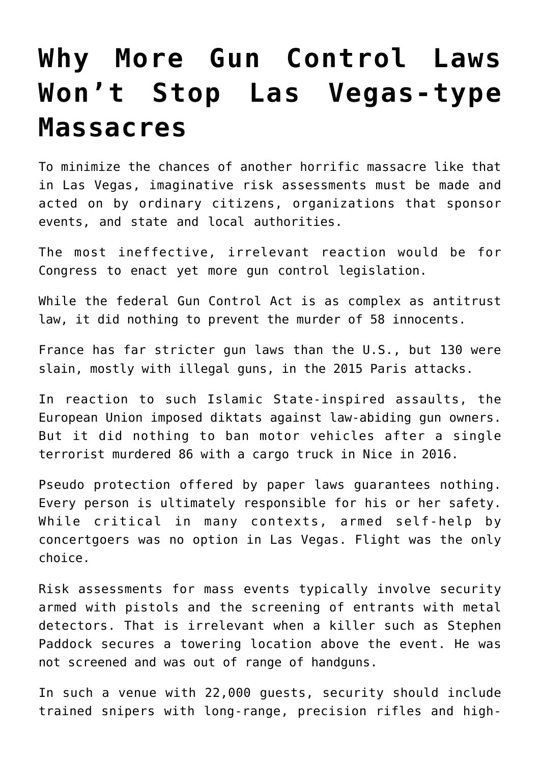## **[Why More Gun Control Laws](https://intellectualtakeout.org/2017/10/why-more-gun-control-laws-wont-stop-las-vegas-type-massacres/) [Won't Stop Las Vegas-type](https://intellectualtakeout.org/2017/10/why-more-gun-control-laws-wont-stop-las-vegas-type-massacres/) [Massacres](https://intellectualtakeout.org/2017/10/why-more-gun-control-laws-wont-stop-las-vegas-type-massacres/)**

To minimize the chances of another horrific massacre like that in Las Vegas, imaginative risk assessments must be made and acted on by ordinary citizens, organizations that sponsor events, and state and local authorities.

The most ineffective, irrelevant reaction would be for Congress to enact yet more gun control legislation.

While the federal Gun Control Act is as complex as antitrust law, it did nothing to prevent the murder of 58 innocents.

France has far stricter gun laws than the U.S., but 130 were slain, mostly with illegal guns, in the 2015 Paris attacks.

In reaction to such Islamic State-inspired assaults, the European Union imposed diktats against law-abiding gun owners. But it did nothing to ban motor vehicles after a single terrorist murdered 86 with a cargo truck in Nice in 2016.

Pseudo protection offered by paper laws guarantees nothing. Every person is ultimately responsible for his or her safety. While critical in many contexts, armed self-help by concertgoers was no option in Las Vegas. Flight was the only choice.

Risk assessments for mass events typically involve security armed with pistols and the screening of entrants with metal detectors. That is irrelevant when a killer such as Stephen Paddock secures a towering location above the event. He was not screened and was out of range of handguns.

In such a venue with 22,000 guests, security should include trained snipers with long-range, precision rifles and high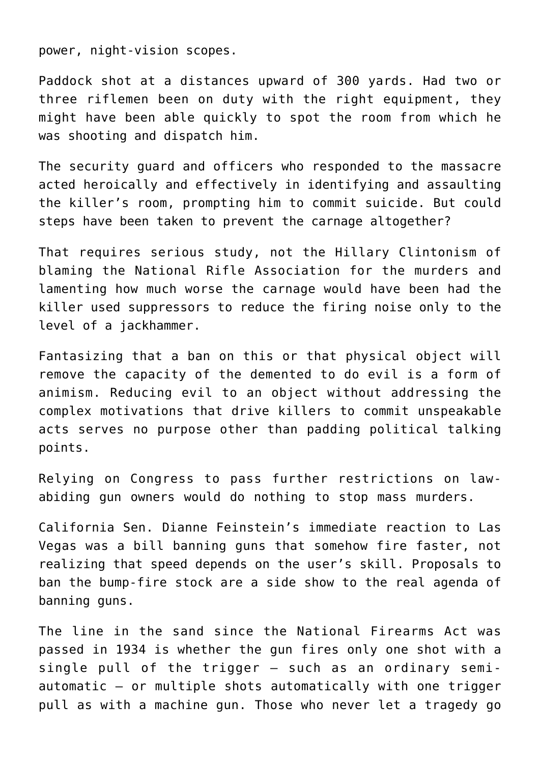power, night-vision scopes.

Paddock shot at a distances upward of 300 yards. Had two or three riflemen been on duty with the right equipment, they might have been able quickly to spot the room from which he was shooting and dispatch him.

The security guard and officers who responded to the massacre acted heroically and effectively in identifying and assaulting the killer's room, prompting him to commit suicide. But could steps have been taken to prevent the carnage altogether?

That requires serious study, not the Hillary Clintonism of blaming the National Rifle Association for the murders and lamenting how much worse the carnage would have been had the killer used suppressors to reduce the firing noise only to the level of a jackhammer.

Fantasizing that a ban on this or that physical object will remove the capacity of the demented to do evil is a form of animism. Reducing evil to an object without addressing the complex motivations that drive killers to commit unspeakable acts serves no purpose other than padding political talking points.

Relying on Congress to pass further restrictions on lawabiding gun owners would do nothing to stop mass murders.

California Sen. Dianne Feinstein's immediate reaction to Las Vegas was a bill banning guns that somehow fire faster, not realizing that speed depends on the user's skill. Proposals to ban the bump-fire stock are a side show to the real agenda of banning guns.

The line in the sand since the National Firearms Act was passed in 1934 is whether the gun fires only one shot with a single pull of the trigger – such as an ordinary semiautomatic – or multiple shots automatically with one trigger pull as with a machine gun. Those who never let a tragedy go